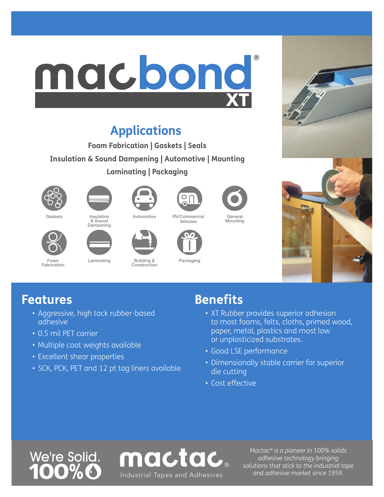## ® macbond **XT**

## **Applications**

**Foam Fabrication | Gaskets | Seals Insulation & Sound Dampening | Automotive | Mounting Laminating | Packaging**







**Dampening** 







General Mounting



## Foam Fabrication



Laminating Building & Construction



Packaging

Vehicles



## **Features**

- Aggressive, high tack rubber-based adhesive
- 0.5 mil PET carrier
- Multiple coat weights available
- Excellent shear properties
- SCK, PCK, PET and 12 pt tag liners available

## **Benefits**

- XT Rubber provides superior adhesion to most foams, felts, cloths, primed wood, paper, metal, plastics and most low or unplasticized substrates.
- Good LSE performance
- Dimensionally stable carrier for superior die cutting
- Cost effective





*Mactac® is a pioneer in 100% solids adhesive technology bringing solutions that stick to the industrial tape*